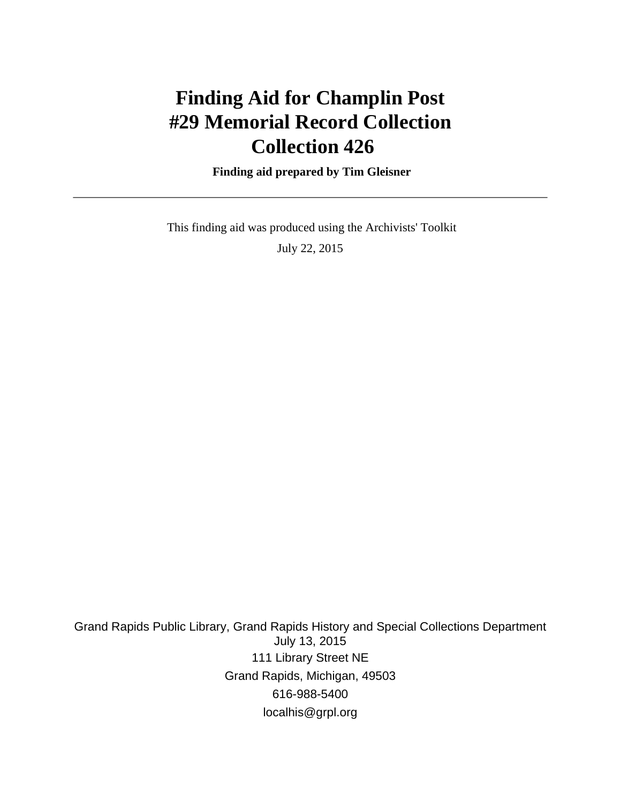# **Finding Aid for Champlin Post #29 Memorial Record Collection Collection 426**

 **Finding aid prepared by Tim Gleisner**

 This finding aid was produced using the Archivists' Toolkit July 22, 2015

Grand Rapids Public Library, Grand Rapids History and Special Collections Department July 13, 2015 111 Library Street NE Grand Rapids, Michigan, 49503 616-988-5400 localhis@grpl.org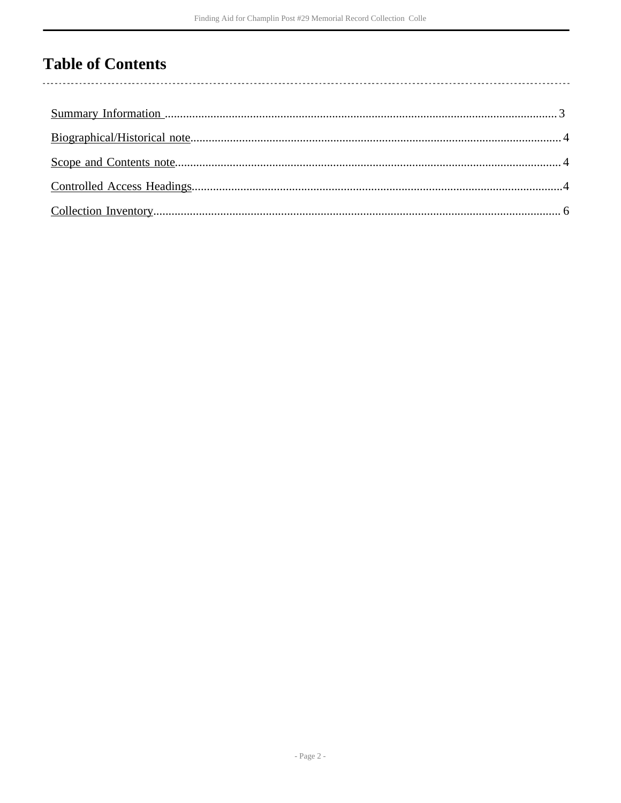## **Table of Contents**

l,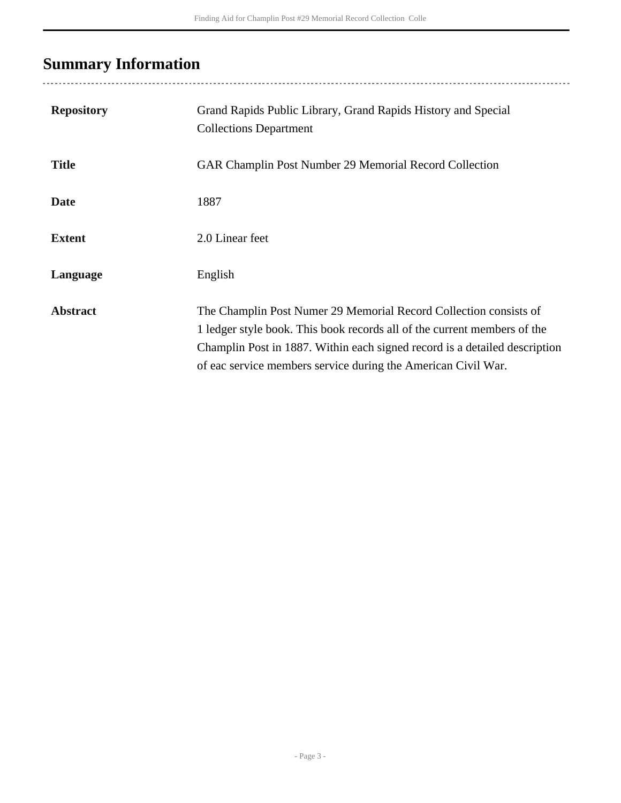# <span id="page-2-0"></span>**Summary Information**

| <b>Repository</b> | Grand Rapids Public Library, Grand Rapids History and Special<br><b>Collections Department</b>                                                                                                                                                                                               |
|-------------------|----------------------------------------------------------------------------------------------------------------------------------------------------------------------------------------------------------------------------------------------------------------------------------------------|
| <b>Title</b>      | <b>GAR Champlin Post Number 29 Memorial Record Collection</b>                                                                                                                                                                                                                                |
| <b>Date</b>       | 1887                                                                                                                                                                                                                                                                                         |
| <b>Extent</b>     | 2.0 Linear feet                                                                                                                                                                                                                                                                              |
| Language          | English                                                                                                                                                                                                                                                                                      |
| <b>Abstract</b>   | The Champlin Post Numer 29 Memorial Record Collection consists of<br>1 ledger style book. This book records all of the current members of the<br>Champlin Post in 1887. Within each signed record is a detailed description<br>of eac service members service during the American Civil War. |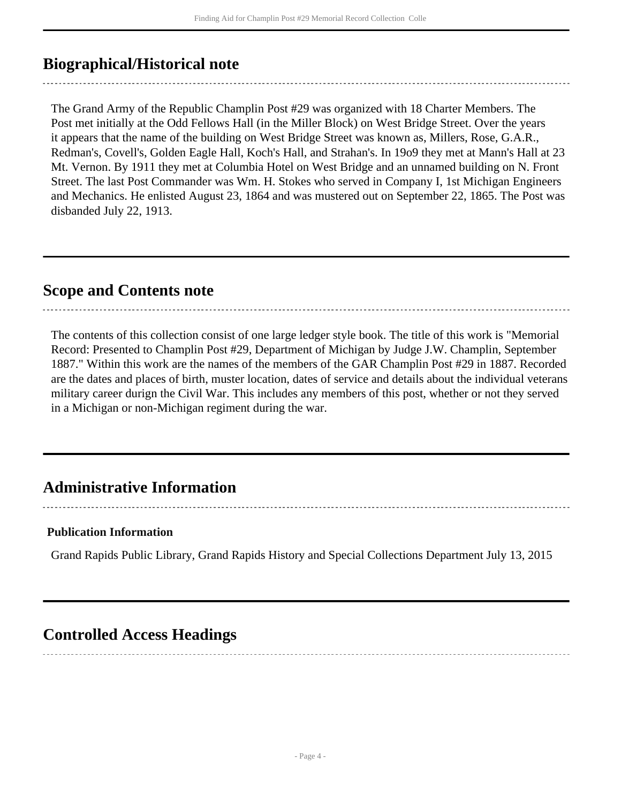## <span id="page-3-0"></span>**Biographical/Historical note**

The Grand Army of the Republic Champlin Post #29 was organized with 18 Charter Members. The Post met initially at the Odd Fellows Hall (in the Miller Block) on West Bridge Street. Over the years it appears that the name of the building on West Bridge Street was known as, Millers, Rose, G.A.R., Redman's, Covell's, Golden Eagle Hall, Koch's Hall, and Strahan's. In 19o9 they met at Mann's Hall at 23 Mt. Vernon. By 1911 they met at Columbia Hotel on West Bridge and an unnamed building on N. Front Street. The last Post Commander was Wm. H. Stokes who served in Company I, 1st Michigan Engineers and Mechanics. He enlisted August 23, 1864 and was mustered out on September 22, 1865. The Post was disbanded July 22, 1913.

### <span id="page-3-1"></span>**Scope and Contents note**

The contents of this collection consist of one large ledger style book. The title of this work is "Memorial Record: Presented to Champlin Post #29, Department of Michigan by Judge J.W. Champlin, September 1887." Within this work are the names of the members of the GAR Champlin Post #29 in 1887. Recorded are the dates and places of birth, muster location, dates of service and details about the individual veterans military career durign the Civil War. This includes any members of this post, whether or not they served in a Michigan or non-Michigan regiment during the war.

--------------------------

## **Administrative Information**

#### **Publication Information**

Grand Rapids Public Library, Grand Rapids History and Special Collections Department July 13, 2015

### <span id="page-3-2"></span>**Controlled Access Headings**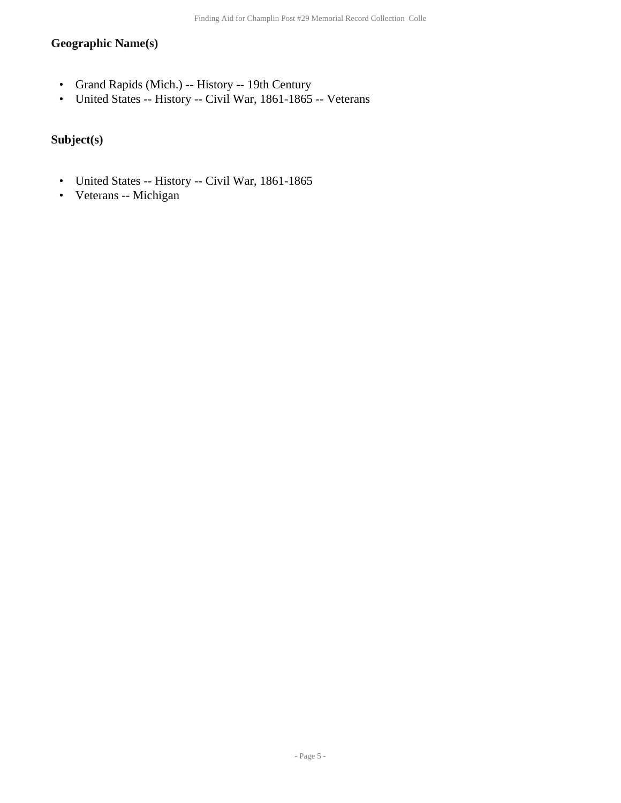### **Geographic Name(s)**

- Grand Rapids (Mich.) -- History -- 19th Century
- United States -- History -- Civil War, 1861-1865 -- Veterans

#### **Subject(s)**

- United States -- History -- Civil War, 1861-1865
- Veterans -- Michigan